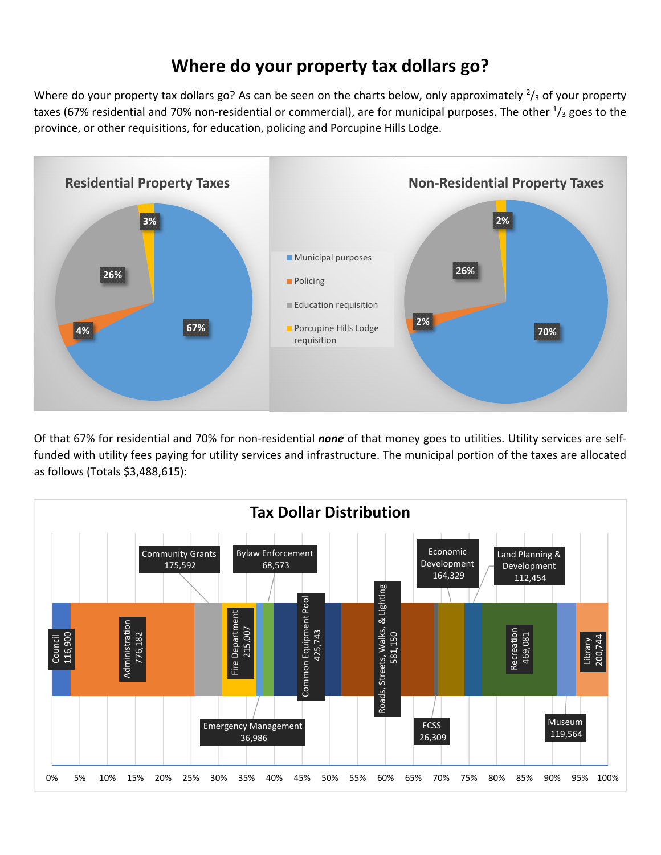## **Where do your property tax dollars go?**

Where do your property tax dollars go? As can be seen on the charts below, only approximately  $\frac{2}{3}$  of your property taxes (67% residential and 70% non-residential or commercial), are for municipal purposes. The other  $\frac{1}{3}$  goes to the province, or other requisitions, for education, policing and Porcupine Hills Lodge.



Of that 67% for residential and 70% for non‐residential *none* of that money goes to utilities. Utility services are self‐ funded with utility fees paying for utility services and infrastructure. The municipal portion of the taxes are allocated as follows (Totals \$3,488,615):